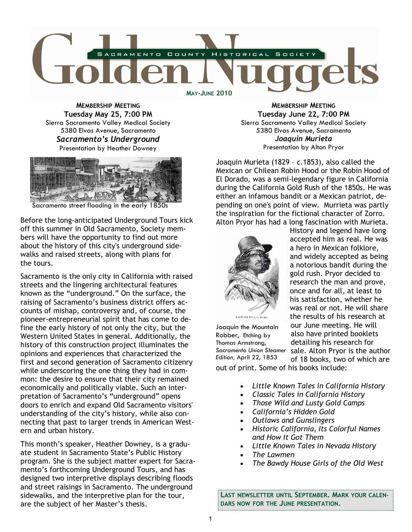

MEMBERSHIP MEETING Tuesday May 25, 7:00 PM Sierra Sacramento Valley Medical Society 5380 Elvas Avenue, Sacramento Sacramento's Underground Presentation by Heather Downey



Sacramento street flooding in the early 1850s

Before the long-anticipated Underground Tours kick off this summer in Old Sacramento, Society members will have the opportunity to find out more about the history of this city's underground sidewalks and raised streets, along with plans for the tours.

Sacramento is the only city in California with raised streets and the lingering architectural features known as the "underground." On the surface, the raising of Sacramento's business district offers accounts of mishap, controversy and, of course, the pioneer-entrepreneurial spirit that has come to define the early history of not only the city, but the Western United States in general. Additionally, the history of this construction project illuminates the opinions and experiences that characterized the first and second generation of Sacramento citizenry while underscoring the one thing they had in common: the desire to ensure that their city remained economically and politically viable. Such an interpretation of Sacramento's "underground" opens doors to enrich and expand Old Sacramento visitors' understanding of the city's history, while also connecting that past to larger trends in American Western and urban history.

This month's speaker, Heather Downey, is a graduate student in Sacramento State's Public History program. She is the subject matter expert for Sacramento's forthcoming Underground Tours, and has designed two interpretive displays describing floods and street raisings in Sacramento. The underground sidewalks, and the interpretive plan for the tour, are the subject of her Master's thesis.

MEMBERSHIP MEETING Tuesday June 22, 7:00 PM Sierra Sacramento Valley Medical Society 5380 Elvas Avenue, Sacramento Joaquin Murieta Presentation by Alton Pryor

Joaquin Murieta (1829 – c.1853), also called the Mexican or Chilean Robin Hood or the Robin Hood of El Dorado, was a semi-legendary figure in California during the California Gold Rush of the 1850s. He was either an infamous bandit or a Mexican patriot, depending on one's point of view. Murrieta was partly the inspiration for the fictional character of Zorro. Alton Pryor has had a long fascination with Murieta.



History and legend have long accepted him as real. He was a hero in Mexican folklore, and widely accepted as being a notorious bandit during the gold rush. Pryor decided to research the man and prove, once and for all, at least to his satisfaction, whether he was real or not. He will share the results of his research at our June meeting. He will also have printed booklets detailing his research for sale. Alton Pryor is the author of 18 books, two of which are

Joaquin the Mountain Robber, Etching by Thomas Armstrong, Sacramento Union Steamer Edition, April 22, 1853

- out of print. Some of his books include:
	- Little Known Tales in California History
	- Classic Tales in California History
	- Those Wild and Lusty Gold Camps
	- California's Hidden Gold
	- Outlaws and Gunslingers
	- Historic California, Its Colorful Names and How It Got Them
	- Little Known Tales in Nevada History
	- The Lawmen
	- The Bawdy House Girls of the Old West

LAST NEWSLETTER UNTIL SEPTEMBER. MARK YOUR CALEN-DARS NOW FOR THE JUNE PRESENTATION.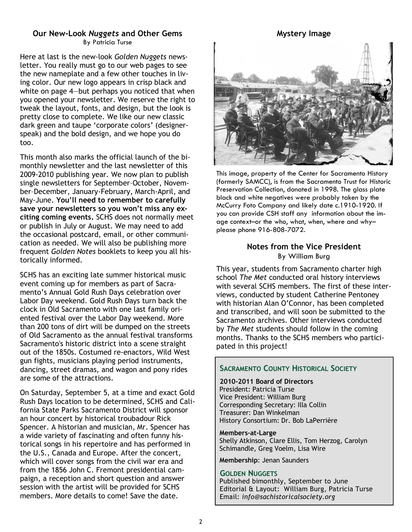## Our New-Look Nuggets and Other Gems By Patricia Turse

Here at last is the new-look Golden Nuggets newsletter. You really must go to our web pages to see the new nameplate and a few other touches in living color. Our new logo appears in crisp black and white on page 4—but perhaps you noticed that when you opened your newsletter. We reserve the right to tweak the layout, fonts, and design, but the look is pretty close to complete. We like our new classic dark green and taupe 'corporate colors' (designerspeak) and the bold design, and we hope you do too.

This month also marks the official launch of the bimonthly newsletter and the last newsletter of this 2009-2010 publishing year. We now plan to publish single newsletters for September–October, November–December, January-February, March-April, and May-June. You'll need to remember to carefully save your newsletters so you won't miss any exciting coming events. SCHS does not normally meet or publish in July or August. We may need to add the occasional postcard, email, or other communication as needed. We will also be publishing more frequent Golden Notes booklets to keep you all historically informed.

SCHS has an exciting late summer historical music event coming up for members as part of Sacramento's Annual Gold Rush Days celebration over Labor Day weekend. Gold Rush Days turn back the clock in Old Sacramento with one last family oriented festival over the Labor Day weekend. More than 200 tons of dirt will be dumped on the streets of Old Sacramento as the annual festival transforms Sacramento's historic district into a scene straight out of the 1850s. Costumed re-enactors, Wild West gun fights, musicians playing period instruments, dancing, street dramas, and wagon and pony rides are some of the attractions.

On Saturday, September 5, at a time and exact Gold Rush Days location to be determined, SCHS and California State Parks Sacramento District will sponsor an hour concert by historical troubadour Rick Spencer. A historian and musician, Mr. Spencer has a wide variety of fascinating and often funny historical songs in his repertoire and has performed in the U.S., Canada and Europe. After the concert, which will cover songs from the civil war era and from the 1856 John C. Fremont presidential campaign, a reception and short question and answer session with the artist will be provided for SCHS members. More details to come! Save the date.

#### Mystery Image



This image, property of the Center for Sacramento History (formerly SAMCC), is from the Sacramento Trust for Historic Preservation Collection, donated in 1998. The glass plate black and white negatives were probably taken by the McCurry Foto Company and likely date c.1910-1920. If you can provide CSH staff any information about the image context–or the who, what, when, where and why– please phone 916-808-7072.

## Notes from the Vice President By William Burg

This year, students from Sacramento charter high school The Met conducted oral history interviews with several SCHS members. The first of these interviews, conducted by student Catherine Pentoney with historian Alan O'Connor, has been completed and transcribed, and will soon be submitted to the Sacramento archives. Other interviews conducted by The Met students should follow in the coming months. Thanks to the SCHS members who participated in this project!

### SACRAMENTO COUNTY HISTORICAL SOCIETY

2010-2011 Board of Directors President: Patricia Turse Vice President: William Burg Corresponding Secretary: Illa Collin Treasurer: Dan Winkelman History Consortium: Dr. Bob LaPerrière

Members-at-Large Shelly Atkinson, Clare Ellis, Tom Herzog, Carolyn Schimandle, Greg Voelm, Lisa Wire

Membership: Jenan Saunders

#### GOLDEN NUGGETS

Published bimonthly, September to June Editorial & Layout: William Burg, Patricia Turse Email: info@sachistoricalsociety.org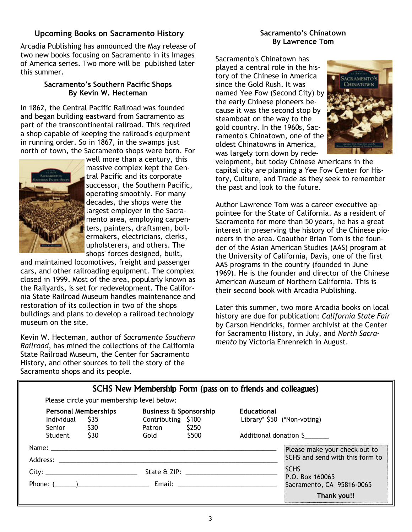# Upcoming Books on Sacramento History

Arcadia Publishing has announced the May release of two new books focusing on Sacramento in its Images of America series. Two more will be published later this summer.

#### Sacramento's Southern Pacific Shops By Kevin W. Hecteman

In 1862, the Central Pacific Railroad was founded and began building eastward from Sacramento as part of the transcontinental railroad. This required a shop capable of keeping the railroad's equipment in running order. So in 1867, in the swamps just north of town, the Sacramento shops were born. For



well more than a century, this massive complex kept the Central Pacific and its corporate successor, the Southern Pacific, operating smoothly. For many decades, the shops were the largest employer in the Sacramento area, employing carpenters, painters, draftsmen, boilermakers, electricians, clerks, upholsterers, and others. The shops' forces designed, built,

and maintained locomotives, freight and passenger cars, and other railroading equipment. The complex closed in 1999. Most of the area, popularly known as the Railyards, is set for redevelopment. The California State Railroad Museum handles maintenance and restoration of its collection in two of the shops buildings and plans to develop a railroad technology museum on the site.

Kevin W. Hecteman, author of Sacramento Southern Railroad, has mined the collections of the California State Railroad Museum, the Center for Sacramento History, and other sources to tell the story of the Sacramento shops and its people.

## Sacramento's Chinatown By Lawrence Tom

Sacramento's Chinatown has played a central role in the history of the Chinese in America since the Gold Rush. It was named Yee Fow (Second City) by the early Chinese pioneers because it was the second stop by steamboat on the way to the gold country. In the 1960s, Sacramento's Chinatown, one of the oldest Chinatowns in America, was largely torn down by rede-



velopment, but today Chinese Americans in the capital city are planning a Yee Fow Center for History, Culture, and Trade as they seek to remember the past and look to the future.

Author Lawrence Tom was a career executive appointee for the State of California. As a resident of Sacramento for more than 50 years, he has a great interest in preserving the history of the Chinese pioneers in the area. Coauthor Brian Tom is the founder of the Asian American Studies (AAS) program at the University of California, Davis, one of the first AAS programs in the country (founded in June 1969). He is the founder and director of the Chinese American Museum of Northern California. This is their second book with Arcadia Publishing.

Later this summer, two more Arcadia books on local history are due for publication: California State Fair by Carson Hendricks, former archivist at the Center for Sacramento History, in July, and North Sacramento by Victoria Ehrenreich in August.

|                                                                                                                 | SCHS New Membership Form (pass on to friends and colleagues)                                                                                                                                                                                                                                                                                                                                                                                                     |                                                                             |
|-----------------------------------------------------------------------------------------------------------------|------------------------------------------------------------------------------------------------------------------------------------------------------------------------------------------------------------------------------------------------------------------------------------------------------------------------------------------------------------------------------------------------------------------------------------------------------------------|-----------------------------------------------------------------------------|
| Please circle your membership level below:                                                                      |                                                                                                                                                                                                                                                                                                                                                                                                                                                                  |                                                                             |
| <b>Personal Memberships</b><br>\$35<br>Individual<br>Senior \$30<br>\$30<br>Student                             | <b>Business &amp; Sponsorship</b><br>Contributing \$100<br>\$250<br>Patron<br>\$500<br>Gold                                                                                                                                                                                                                                                                                                                                                                      | <b>Educational</b><br>Library* \$50 (*Non-voting)<br>Additional donation \$ |
| Address: Andreas Address and Address and American Address and American American Address and America and America |                                                                                                                                                                                                                                                                                                                                                                                                                                                                  | Please make your check out to<br>SCHS and send with this form to            |
| Phone: $($                                                                                                      | State & ZIP: the state of the state of the state of the state of the state of the state of the state of the state of the state of the state of the state of the state of the state of the state of the state of the state of t<br>Email: Email: Album and the second service of the series of the series of the series of the series of the series of the series of the series of the series of the series of the series of the series of the series of the seri | <b>SCHS</b><br>P.O. Box 160065<br>Sacramento, CA 95816-0065                 |
|                                                                                                                 |                                                                                                                                                                                                                                                                                                                                                                                                                                                                  | Thank you!!                                                                 |